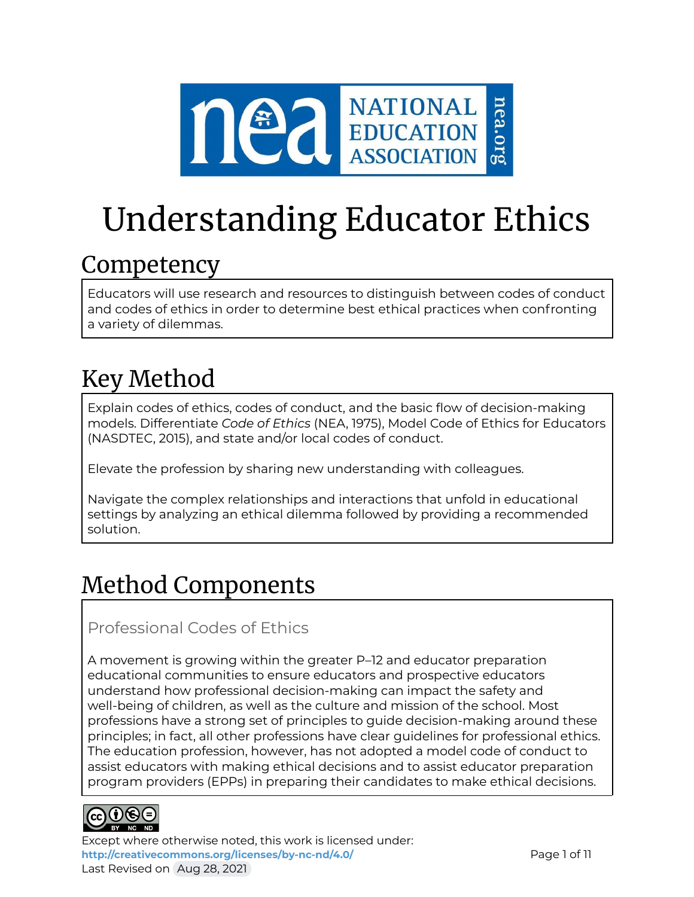

# Understanding Educator Ethics

# **Competency**

Educators will use research and resources to distinguish between codes of conduct and codes of ethics in order to determine best ethical practices when confronting a variety of dilemmas.

# Key Method

Explain codes of ethics, codes of conduct, and the basic flow of decision-making models. Differentiate *Code of Ethics* (NEA, 1975), Model Code of Ethics for Educators (NASDTEC, 2015), and state and/or local codes of conduct.

Elevate the profession by sharing new understanding with colleagues.

Navigate the complex relationships and interactions that unfold in educational settings by analyzing an ethical dilemma followed by providing a recommended solution.

# Method Components

### Professional Codes of Ethics

A movement is growing within the greater P–12 and educator preparation educational communities to ensure educators and prospective educators understand how professional decision-making can impact the safety and well-being of children, as well as the culture and mission of the school. Most professions have a strong set of principles to guide decision-making around these principles; in fact, all other professions have clear guidelines for professional ethics. The education profession, however, has not adopted a model code of conduct to assist educators with making ethical decisions and to assist educator preparation program providers (EPPs) in preparing their candidates to make ethical decisions.



Except where otherwise noted, this work is licensed under: <http://creativecommons.org/licenses/by-nc-nd/4.0/> **Page 1 of 11** Last Revised on Aug 28, 2021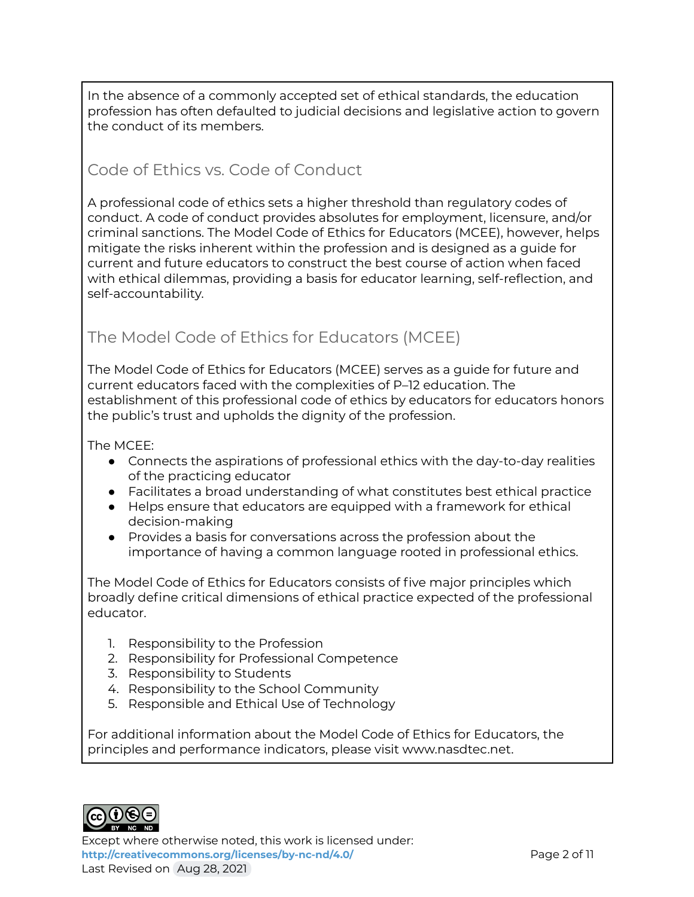In the absence of a commonly accepted set of ethical standards, the education profession has often defaulted to judicial decisions and legislative action to govern the conduct of its members.

### Code of Ethics vs. Code of Conduct

A professional code of ethics sets a higher threshold than regulatory codes of conduct. A code of conduct provides absolutes for employment, licensure, and/or criminal sanctions. The Model Code of Ethics for Educators (MCEE), however, helps mitigate the risks inherent within the profession and is designed as a guide for current and future educators to construct the best course of action when faced with ethical dilemmas, providing a basis for educator learning, self-reflection, and self-accountability.

### The Model Code of Ethics for Educators (MCEE)

The Model Code of Ethics for Educators (MCEE) serves as a guide for future and current educators faced with the complexities of P–12 education. The establishment of this professional code of ethics by educators for educators honors the public's trust and upholds the dignity of the profession.

The MCEE:

- Connects the aspirations of professional ethics with the day-to-day realities of the practicing educator
- Facilitates a broad understanding of what constitutes best ethical practice
- Helps ensure that educators are equipped with a framework for ethical decision-making
- Provides a basis for conversations across the profession about the importance of having a common language rooted in professional ethics.

The Model Code of Ethics for Educators consists of five major principles which broadly define critical dimensions of ethical practice expected of the professional educator.

- 1. Responsibility to the Profession
- 2. Responsibility for Professional Competence
- 3. Responsibility to Students
- 4. Responsibility to the School Community
- 5. Responsible and Ethical Use of Technology

For additional information about the Model Code of Ethics for Educators, the principles and performance indicators, please visit www.nasdtec.net.



Except where otherwise noted, this work is licensed under: **<http://creativecommons.org/licenses/by-nc-nd/4.0/>** Page 2 of 11 Last Revised on Aug 28, 2021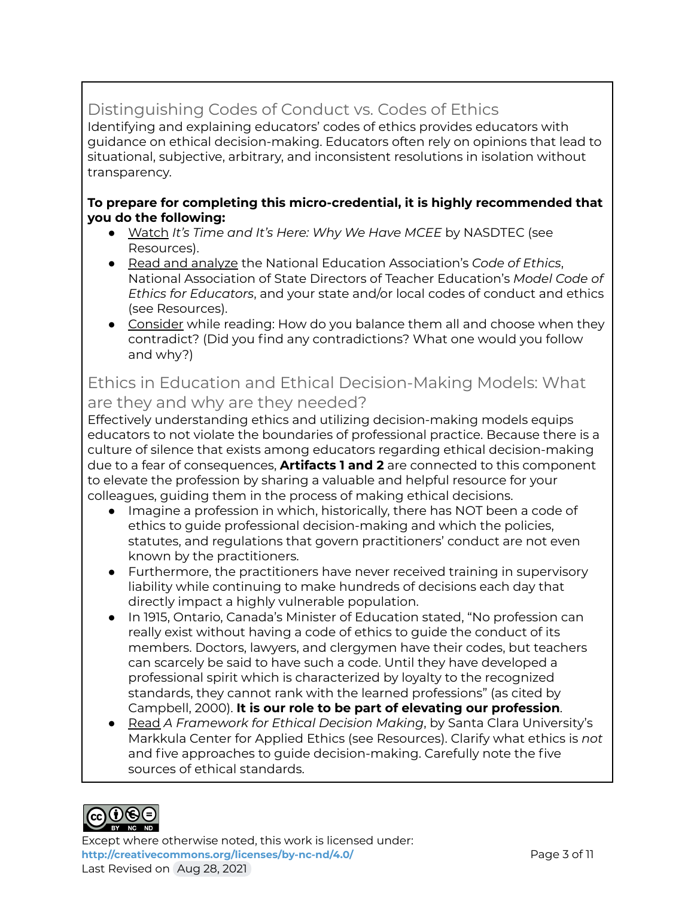### Distinguishing Codes of Conduct vs. Codes of Ethics

Identifying and explaining educators' codes of ethics provides educators with guidance on ethical decision-making. Educators often rely on opinions that lead to situational, subjective, arbitrary, and inconsistent resolutions in isolation without transparency.

#### **To prepare for completing this micro-credential, it is highly recommended that you do the following:**

- Watch *It's Time and It's Here: Why We Have MCEE* by NASDTEC (see Resources).
- Read and analyze the National Education Association's *Code of Ethics*, National Association of State Directors of Teacher Education's *Model Code of Ethics for Educators*, and your state and/or local codes of conduct and ethics (see Resources).
- Consider while reading: How do you balance them all and choose when they contradict? (Did you find any contradictions? What one would you follow and why?)

### Ethics in Education and Ethical Decision-Making Models: What are they and why are they needed?

Effectively understanding ethics and utilizing decision-making models equips educators to not violate the boundaries of professional practice. Because there is a culture of silence that exists among educators regarding ethical decision-making due to a fear of consequences, **Artifacts 1 and 2** are connected to this component to elevate the profession by sharing a valuable and helpful resource for your colleagues, guiding them in the process of making ethical decisions.

- Imagine a profession in which, historically, there has NOT been a code of ethics to guide professional decision-making and which the policies, statutes, and regulations that govern practitioners' conduct are not even known by the practitioners.
- Furthermore, the practitioners have never received training in supervisory liability while continuing to make hundreds of decisions each day that directly impact a highly vulnerable population.
- In 1915, Ontario, Canada's Minister of Education stated, "No profession can really exist without having a code of ethics to guide the conduct of its members. Doctors, lawyers, and clergymen have their codes, but teachers can scarcely be said to have such a code. Until they have developed a professional spirit which is characterized by loyalty to the recognized standards, they cannot rank with the learned professions" (as cited by Campbell, 2000). **It is our role to be part of elevating our profession**.
- Read *A Framework for Ethical Decision Making*, by Santa Clara University's Markkula Center for Applied Ethics (see Resources). Clarify what ethics is *not* and five approaches to guide decision-making. Carefully note the five sources of ethical standards.

## $_{\rm cc}(\mathbf{i})$ (s) $(\mathbf{i})$

Except where otherwise noted, this work is licensed under: **<http://creativecommons.org/licenses/by-nc-nd/4.0/>** Page 3 of 11 Last Revised on Aug 28, 2021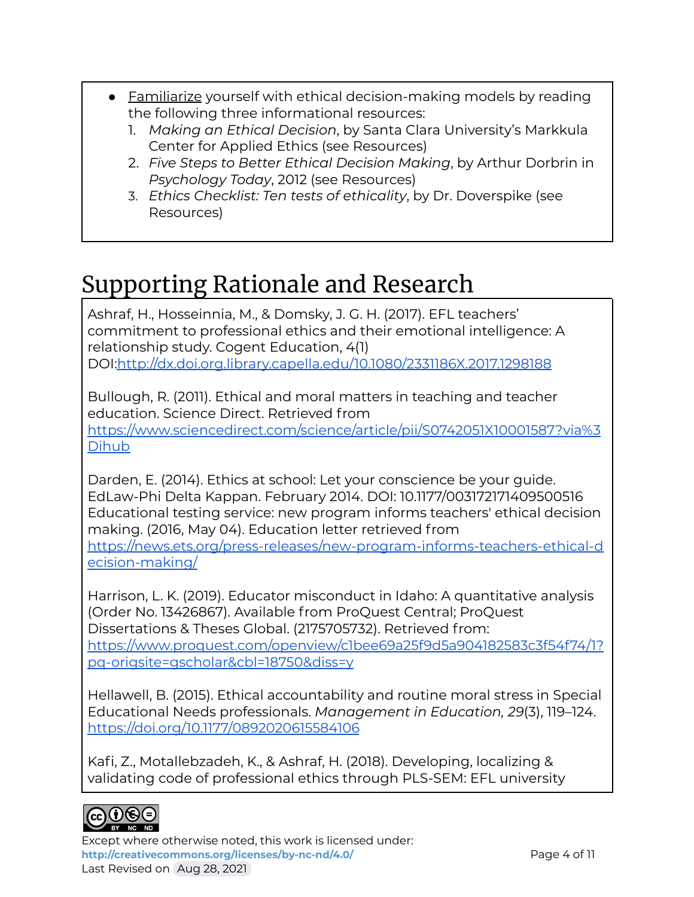- Familiarize yourself with ethical decision-making models by reading the following three informational resources:
	- 1. *Making an Ethical Decision*, by Santa Clara University's Markkula Center for Applied Ethics (see Resources)
	- 2. *Five Steps to Better Ethical Decision Making*, by Arthur Dorbrin in *Psychology Today*, 2012 (see Resources)
	- 3. *Ethics Checklist: Ten tests of ethicality*, by Dr. Doverspike (see Resources)

# Supporting Rationale and Research

Ashraf, H., Hosseinnia, M., & Domsky, J. G. H. (2017). EFL teachers' commitment to professional ethics and their emotional intelligence: A relationship study. Cogent Education, 4(1) DOI[:http://dx.doi.org.library.capella.edu/10.1080/2331186X.2017.1298188](http://dx.doi.org.library.capella.edu/10.1080/2331186X.2017.1298188)

Bullough, R. (2011). Ethical and moral matters in teaching and teacher education. Science Direct. Retrieved from [https://www.sciencedirect.com/science/article/pii/S0742051X10001587?via%3](https://www.sciencedirect.com/science/article/pii/S0742051X10001587?via%3Dihub) [Dihub](https://www.sciencedirect.com/science/article/pii/S0742051X10001587?via%3Dihub)

Darden, E. (2014). Ethics at school: Let your conscience be your guide. EdLaw-Phi Delta Kappan. February 2014. DOI: 10.1177/003172171409500516 Educational testing service: new program informs teachers' ethical decision making. (2016, May 04). Education letter retrieved from [https://news.ets.org/press-releases/new-program-informs-teachers-ethical-d](https://news.ets.org/press-releases/new-program-informs-teachers-ethical-decision-making/) [ecision-making/](https://news.ets.org/press-releases/new-program-informs-teachers-ethical-decision-making/)

Harrison, L. K. (2019). Educator misconduct in Idaho: A quantitative analysis (Order No. 13426867). Available from ProQuest Central; ProQuest Dissertations & Theses Global. (2175705732). Retrieved from: [https://www.proquest.com/openview/c1bee69a25f9d5a904182583c3f54f74/1?](https://www.proquest.com/openview/c1bee69a25f9d5a904182583c3f54f74/1?pq-origsite=gscholar&cbl=18750&diss=y) [pq-origsite=gscholar&cbl=18750&diss=y](https://www.proquest.com/openview/c1bee69a25f9d5a904182583c3f54f74/1?pq-origsite=gscholar&cbl=18750&diss=y)

Hellawell, B. (2015). Ethical accountability and routine moral stress in Special Educational Needs professionals. *Management in Education, 29*(3), 119–124. <https://doi.org/10.1177/0892020615584106>

Kafi, Z., Motallebzadeh, K., & Ashraf, H. (2018). Developing, localizing & validating code of professional ethics through PLS-SEM: EFL university



Except where otherwise noted, this work is licensed under: <http://creativecommons.org/licenses/by-nc-nd/4.0/> **Page 4 of 11** Last Revised on Aug 28, 2021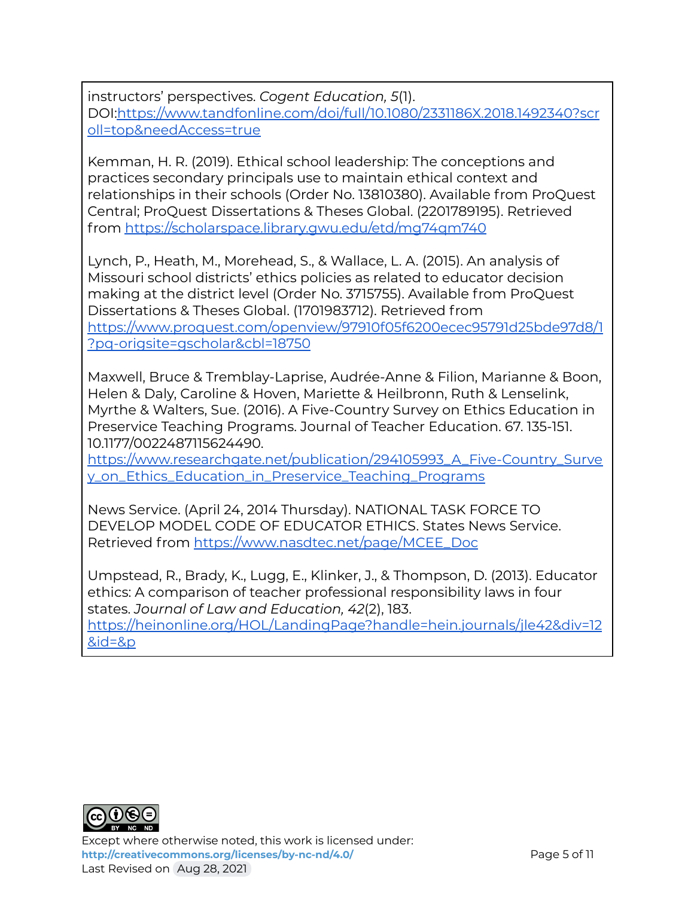instructors' perspectives. *Cogent Education, 5*(1). DOI[:https://www.tandfonline.com/doi/full/10.1080/2331186X.2018.1492340?scr](https://www.tandfonline.com/doi/full/10.1080/2331186X.2018.1492340?scroll=top&needAccess=true) [oll=top&needAccess=true](https://www.tandfonline.com/doi/full/10.1080/2331186X.2018.1492340?scroll=top&needAccess=true)

Kemman, H. R. (2019). Ethical school leadership: The conceptions and practices secondary principals use to maintain ethical context and relationships in their schools (Order No. 13810380). Available from ProQuest Central; ProQuest Dissertations & Theses Global. (2201789195). Retrieved from <https://scholarspace.library.gwu.edu/etd/mg74qm740>

Lynch, P., Heath, M., Morehead, S., & Wallace, L. A. (2015). An analysis of Missouri school districts' ethics policies as related to educator decision making at the district level (Order No. 3715755). Available from ProQuest Dissertations & Theses Global. (1701983712). Retrieved from [https://www.proquest.com/openview/97910f05f6200ecec95791d25bde97d8/1](https://www.proquest.com/openview/97910f05f6200ecec95791d25bde97d8/1?pq-origsite=gscholar&cbl=18750) [?pq-origsite=gscholar&cbl=18750](https://www.proquest.com/openview/97910f05f6200ecec95791d25bde97d8/1?pq-origsite=gscholar&cbl=18750)

Maxwell, Bruce & Tremblay-Laprise, Audrée-Anne & Filion, Marianne & Boon, Helen & Daly, Caroline & Hoven, Mariette & Heilbronn, Ruth & Lenselink, Myrthe & Walters, Sue. (2016). A Five-Country Survey on Ethics Education in Preservice Teaching Programs. Journal of Teacher Education. 67. 135-151. 10.1177/0022487115624490.

[https://www.researchgate.net/publication/294105993\\_A\\_Five-Country\\_Surve](https://www.researchgate.net/publication/294105993_A_Five-Country_Survey_on_Ethics_Education_in_Preservice_Teaching_Programs) [y\\_on\\_Ethics\\_Education\\_in\\_Preservice\\_Teaching\\_Programs](https://www.researchgate.net/publication/294105993_A_Five-Country_Survey_on_Ethics_Education_in_Preservice_Teaching_Programs)

News Service. (April 24, 2014 Thursday). NATIONAL TASK FORCE TO DEVELOP MODEL CODE OF EDUCATOR ETHICS. States News Service. Retrieved from [https://www.nasdtec.net/page/MCEE\\_Doc](https://www.nasdtec.net/page/MCEE_Doc)

Umpstead, R., Brady, K., Lugg, E., Klinker, J., & Thompson, D. (2013). Educator ethics: A comparison of teacher professional responsibility laws in four states. *Journal of Law and Education, 42*(2), 183.

[https://heinonline.org/HOL/LandingPage?handle=hein.journals/jle42&div=12](https://heinonline.org/HOL/LandingPage?handle=hein.journals/jle42&div=12&id=&page=) [&id=&p](https://heinonline.org/HOL/LandingPage?handle=hein.journals/jle42&div=12&id=&page=)



Except where otherwise noted, this work is licensed under: <http://creativecommons.org/licenses/by-nc-nd/4.0/><br>
Page 5 of 11 Last Revised on Aug 28, 2021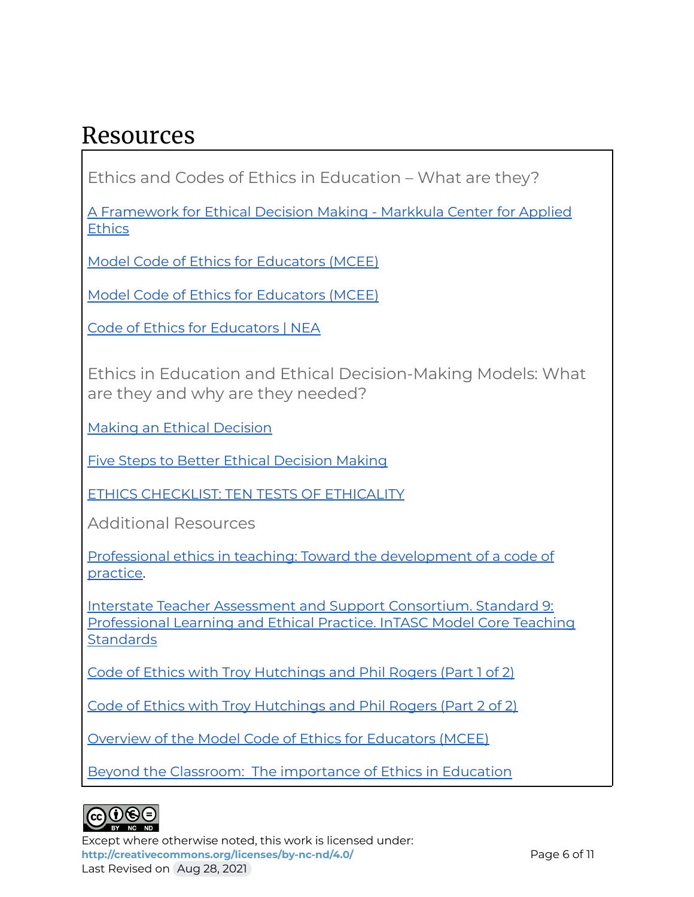### Resources

Ethics and Codes of Ethics in Education – What are they?

A [Framework](https://www.scu.edu/ethics/ethics-resources/ethical-decision-making/a-framework-for-ethical-decision-making/) for Ethical Decision Making - Markkula Center for Applied **[Ethics](https://www.scu.edu/ethics/ethics-resources/ethical-decision-making/a-framework-for-ethical-decision-making/)** 

Model Code of Ethics for [Educators](https://vimeo.com/223323342) (MCEE)

Model Code of Ethics for [Educators](https://www.nasdtec.net/page/MCEE_Doc) (MCEE)

Code of Ethics for [Educators](http://www.nea.org/home/30442.htm) | NEA

Ethics in Education and Ethical Decision-Making Models: What are they and why are they needed?

Making an Ethical [Decision](https://www.scu.edu/media/ethics-center/resources/making.pdf)

Five Steps to Better Ethical [Decision Making](https://www.psychologytoday.com/us/blog/am-i-right/201207/five-steps-better-ethical-decision-making)

ETHICS [CHECKLIST:](http://drwilliamdoverspike.com/files/how_to_check_your_ethics.pdf) TEN TESTS OF ETHICALITY

Additional Resources

Professional ethics in teaching: Toward the [development](https://www.tandfonline.com/doi/abs/10.1080/03057640050075198) of a code of [practice](https://www.tandfonline.com/doi/abs/10.1080/03057640050075198).

Interstate Teacher Assessment and Support [Consortium.](https://ccsso.org/sites/default/files/2017-12/2013_INTASC_Learning_Progressions_for_Teachers.pdf) Standard 9: [Professional](https://ccsso.org/sites/default/files/2017-12/2013_INTASC_Learning_Progressions_for_Teachers.pdf) Learning and Ethical Practice. InTASC Model Core Teaching **[Standards](https://ccsso.org/sites/default/files/2017-12/2013_INTASC_Learning_Progressions_for_Teachers.pdf)** 

Code of Ethics with Troy [Hutchings](https://www.youtube.com/watch?v=r8_yld1OfpU&t=3s) and Phil Rogers (Part 1 of 2)

Code of Ethics with Troy [Hutchings](https://www.youtube.com/watch?v=gBiv1g_f4m4&t=3s) and Phil Rogers (Part 2 of 2)

Overview of the Model Code of Ethics for [Educators](https://vimeo.com/299747017) (MCEE)

Beyond the Classroom: The [importance](https://www.miamiherald.com/news/local/community/miami-dade/community-voices/article17030966.html) of Ethics in Education



Except where otherwise noted, this work is licensed under: <http://creativecommons.org/licenses/by-nc-nd/4.0/><br>
Page 6 of 11 Last Revised on Aug 28, 2021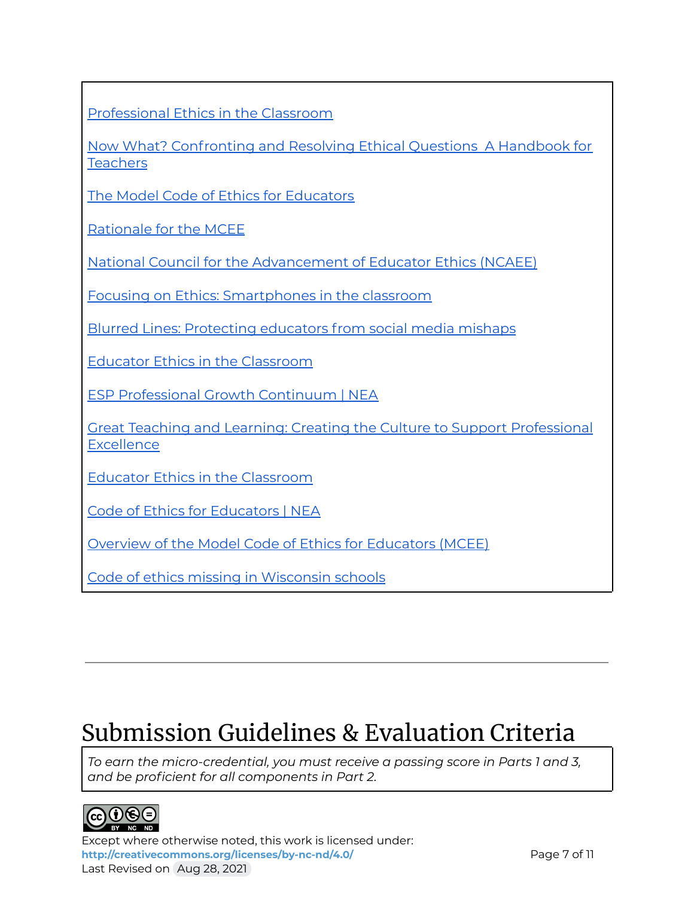|  | Professional Ethics in the Classroom |  |  |
|--|--------------------------------------|--|--|
|--|--------------------------------------|--|--|

Now What? [Confronting](https://books.google.com/books?id=Q3pZDwAAQBAJ) and Resolving Ethical Questions A Handbook for **[Teachers](https://books.google.com/books?id=Q3pZDwAAQBAJ)** 

The Model Code of Ethics for [Educators](https://www.nasdtec.net/page/MCEE_Doc)

[Rationale](https://www.nasdtec.net/page/MCEE_Rationale) for the MCEE

National Council for the [Advancement](https://www.nasdtec.net/page/NCAEE_Landing) of Educator Ethics (NCAEE)

Focusing on Ethics: [Smartphones](https://www.podbean.com/media/share/pb-ksw6r-aca2db?utm_campaign=w_share_ep&utm_medium=dlink&utm_source=w_share) in the classroom

Blurred Lines: [Protecting](https://www.podbean.com/media/share/pb-3fyuv-aa9542?utm_campaign=u_share_ep&utm_medium=dlink&utm_source=u_share) educators from social media mishaps

Educator Ethics in the [Classroom](http://neatoday.org/podcast/educator-ethics-in-the-classroom/)

ESP [Professional](http://www.nea.org/assets/docs/ESP_PGC_digital.pdf) Growth Continuum | NEA

Great Teaching and Learning: Creating the Culture to Support [Professional](https://www.nea.org/resource-library/great-teaching-and-learning-creating-school-culture) **[Excellence](https://www.nea.org/resource-library/great-teaching-and-learning-creating-school-culture)** 

Educator Ethics in the [Classroom](https://www.nea.org/professional-excellence/student-engagement/school-me-podcasts)

Code of Ethics for [Educators](http://www.nea.org/home/30442.htm) | NEA

Overview of the Model Code of Ethics for [Educators](https://vimeo.com/299747017) (MCEE)

Code of ethics missing in [Wisconsin](https://www.postcrescent.com/story/news/education/2016/07/25/code-ethics-missing-wisconsin-schools/79370316/) schools

# Submission Guidelines & Evaluation Criteria

*To earn the micro-credential, you must receive a passing score in Parts 1 and 3, and be proficient for all components in Part 2.*



Except where otherwise noted, this work is licensed under: <http://creativecommons.org/licenses/by-nc-nd/4.0/><br>
Page 7 of 11 Last Revised on Aug 28, 2021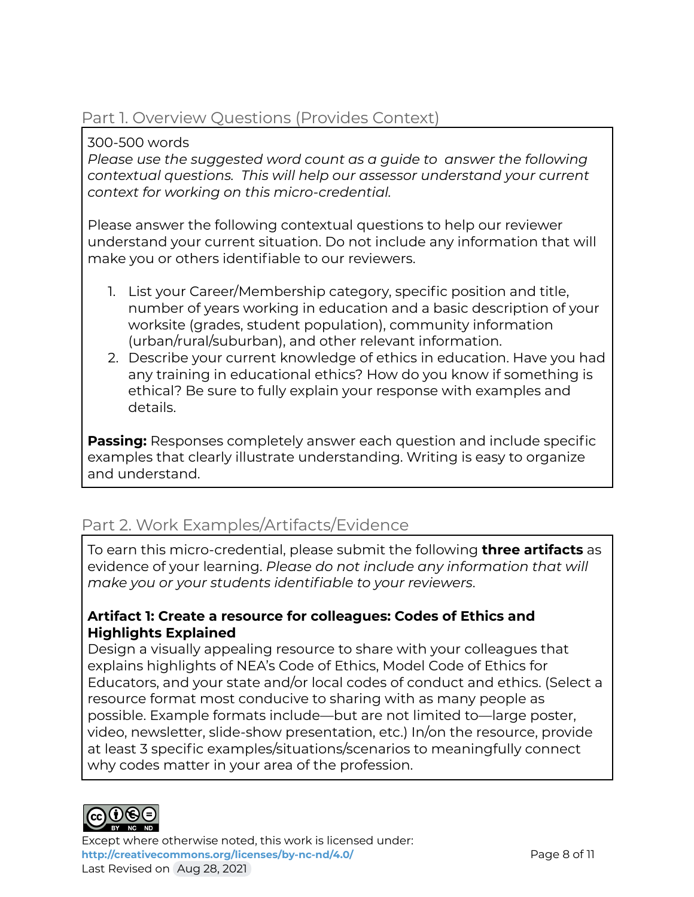### Part 1. Overview Questions (Provides Context)

300-500 words

*Please use the suggested word count as a guide to answer the following contextual questions. This will help our assessor understand your current context for working on this micro-credential.*

Please answer the following contextual questions to help our reviewer understand your current situation. Do not include any information that will make you or others identifiable to our reviewers.

- 1. List your Career/Membership category, specific position and title, number of years working in education and a basic description of your worksite (grades, student population), community information (urban/rural/suburban), and other relevant information.
- 2. Describe your current knowledge of ethics in education. Have you had any training in educational ethics? How do you know if something is ethical? Be sure to fully explain your response with examples and details.

**Passing:** Responses completely answer each question and include specific examples that clearly illustrate understanding. Writing is easy to organize and understand.

### Part 2. Work Examples/Artifacts/Evidence

To earn this micro-credential, please submit the following **three artifacts** as evidence of your learning. *Please do not include any information that will make you or your students identifiable to your reviewers*.

#### **Artifact 1: Create a resource for colleagues: Codes of Ethics and Highlights Explained**

Design a visually appealing resource to share with your colleagues that explains highlights of NEA's Code of Ethics, Model Code of Ethics for Educators, and your state and/or local codes of conduct and ethics. (Select a resource format most conducive to sharing with as many people as possible. Example formats include—but are not limited to—large poster, video, newsletter, slide-show presentation, etc.) In/on the resource, provide at least 3 specific examples/situations/scenarios to meaningfully connect why codes matter in your area of the profession.



Except where otherwise noted, this work is licensed under: **<http://creativecommons.org/licenses/by-nc-nd/4.0/>** Page 8 of 11 Last Revised on Aug 28, 2021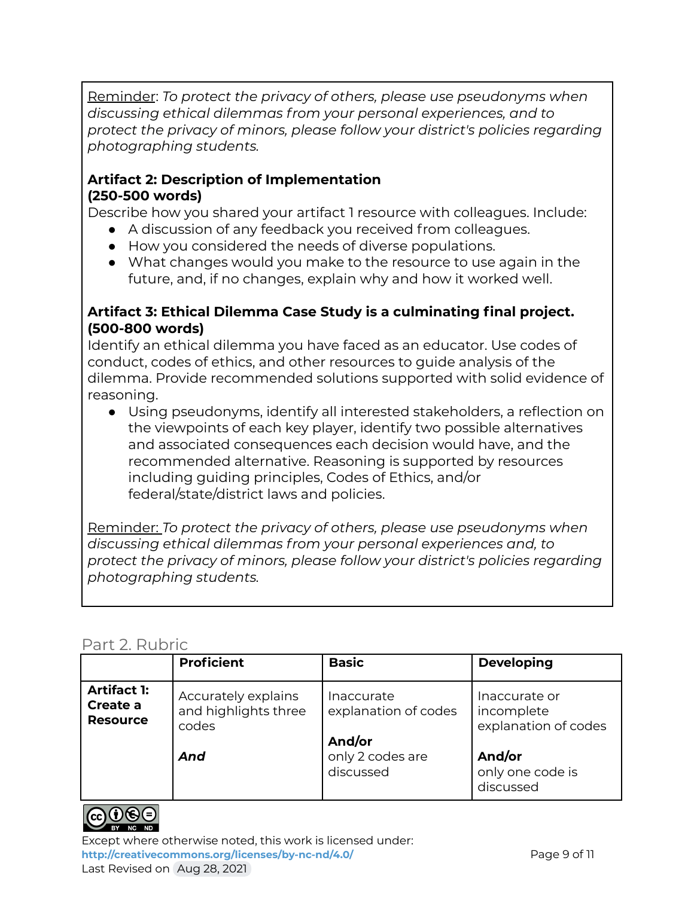Reminder: *To protect the privacy of others, please use pseudonyms when discussing ethical dilemmas from your personal experiences, and to protect the privacy of minors, please follow your district's policies regarding photographing students.*

#### **Artifact 2: Description of Implementation (250-500 words)**

Describe how you shared your artifact 1 resource with colleagues. Include:

- A discussion of any feedback you received from colleagues.
- How you considered the needs of diverse populations.
- What changes would you make to the resource to use again in the future, and, if no changes, explain why and how it worked well.

#### **Artifact 3: Ethical Dilemma Case Study is a culminating final project. (500-800 words)**

Identify an ethical dilemma you have faced as an educator. Use codes of conduct, codes of ethics, and other resources to guide analysis of the dilemma. Provide recommended solutions supported with solid evidence of reasoning.

● Using pseudonyms, identify all interested stakeholders, a reflection on the viewpoints of each key player, identify two possible alternatives and associated consequences each decision would have, and the recommended alternative. Reasoning is supported by resources including guiding principles, Codes of Ethics, and/or federal/state/district laws and policies.

Reminder: *To protect the privacy of others, please use pseudonyms when discussing ethical dilemmas from your personal experiences and, to protect the privacy of minors, please follow your district's policies regarding photographing students.*

#### Part 2. Rubric

|                                                   | <b>Proficient</b>                                           | <b>Basic</b>                                                                  | <b>Developing</b>                                                                 |
|---------------------------------------------------|-------------------------------------------------------------|-------------------------------------------------------------------------------|-----------------------------------------------------------------------------------|
| <b>Artifact 1:</b><br>Create a<br><b>Resource</b> | Accurately explains<br>and highlights three<br>codes<br>And | Inaccurate<br>explanation of codes<br>And/or<br>only 2 codes are<br>discussed | Inaccurate or<br>incomplete<br>explanation of codes<br>And/or<br>only one code is |
|                                                   |                                                             |                                                                               | discussed                                                                         |



Except where otherwise noted, this work is licensed under: **<http://creativecommons.org/licenses/by-nc-nd/4.0/>** Page 9 of 11 Last Revised on Aug 28, 2021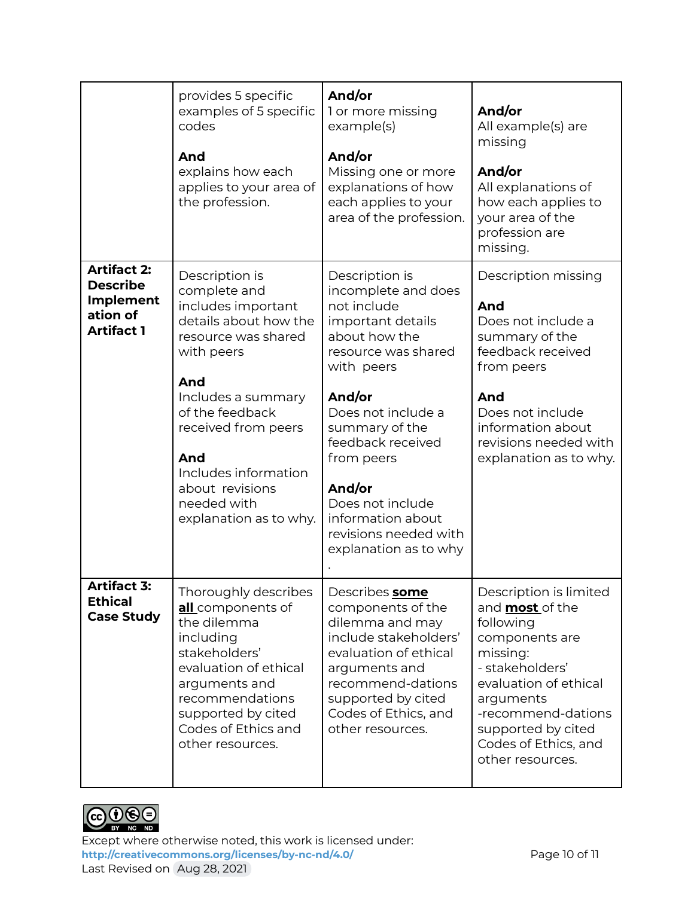|                                                                                            | provides 5 specific<br>examples of 5 specific<br>codes<br>And<br>explains how each<br>applies to your area of<br>the profession.                                                                                                                                                     | And/or<br>1 or more missing<br>example(s)<br>And/or<br>Missing one or more<br>explanations of how<br>each applies to your<br>area of the profession.                                                                                                                                                                      | And/or<br>All example(s) are<br>missing<br>And/or<br>All explanations of<br>how each applies to<br>your area of the<br>profession are<br>missing.                                                                                            |
|--------------------------------------------------------------------------------------------|--------------------------------------------------------------------------------------------------------------------------------------------------------------------------------------------------------------------------------------------------------------------------------------|---------------------------------------------------------------------------------------------------------------------------------------------------------------------------------------------------------------------------------------------------------------------------------------------------------------------------|----------------------------------------------------------------------------------------------------------------------------------------------------------------------------------------------------------------------------------------------|
| <b>Artifact 2:</b><br><b>Describe</b><br><b>Implement</b><br>ation of<br><b>Artifact 1</b> | Description is<br>complete and<br>includes important<br>details about how the<br>resource was shared<br>with peers<br>And<br>Includes a summary<br>of the feedback<br>received from peers<br>And<br>Includes information<br>about revisions<br>needed with<br>explanation as to why. | Description is<br>incomplete and does<br>not include<br>important details<br>about how the<br>resource was shared<br>with peers<br>And/or<br>Does not include a<br>summary of the<br>feedback received<br>from peers<br>And/or<br>Does not include<br>information about<br>revisions needed with<br>explanation as to why | Description missing<br>And<br>Does not include a<br>summary of the<br>feedback received<br>from peers<br>And<br>Does not include<br>information about<br>revisions needed with<br>explanation as to why.                                     |
| <b>Artifact 3:</b><br><b>Ethical</b><br><b>Case Study</b>                                  | Thoroughly describes<br>all components of<br>the dilemma<br>including<br>stakeholders'<br>evaluation of ethical<br>arguments and<br>recommendations<br>supported by cited<br>Codes of Ethics and<br>other resources.                                                                 | Describes some<br>components of the<br>dilemma and may<br>include stakeholders'<br>evaluation of ethical<br>arguments and<br>recommend-dations<br>supported by cited<br>Codes of Ethics, and<br>other resources.                                                                                                          | Description is limited<br>and <b>most</b> of the<br>following<br>components are<br>missing:<br>- stakeholders'<br>evaluation of ethical<br>arguments<br>-recommend-dations<br>supported by cited<br>Codes of Ethics, and<br>other resources. |



Except where otherwise noted, this work is licensed under: <http://creativecommons.org/licenses/by-nc-nd/4.0/><br>
Page 10 of 11 Last Revised on Aug 28, 2021